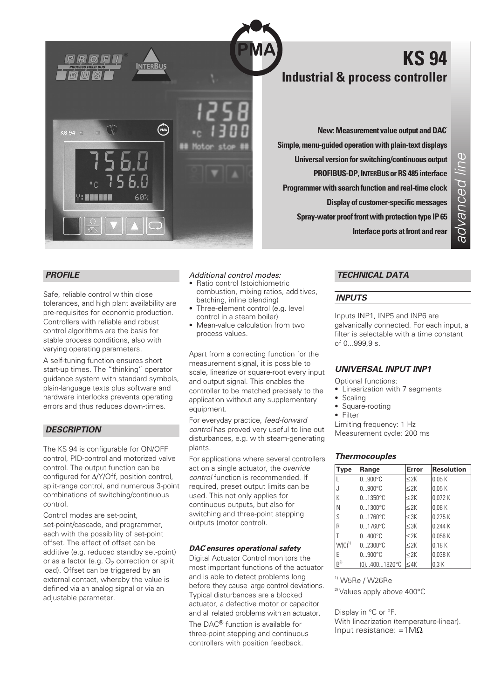

# **KS 94 Industrial & process controller**

**New: Measurement value output and DAC® Simple, menu-guided operation with plain-text displays Universal version for switching/continuous output PROFIBUS-DP, INTERBUS or RS 485 interface Programmer with search function and real-time clock Display of customer-specific messages Spray-water proof front with protection type IP 65 Interface ports at front and rear**

# *PROFILE*

 $KS94$ 

Safe, reliable control within close tolerances, and high plant availability are pre-requisites for economic production. Controllers with reliable and robust control algorithms are the basis for stable process conditions, also with varying operating parameters.

A self-tuning function ensures short start-up times. The "thinking" operator guidance system with standard symbols, plain-language texts plus software and hardware interlocks prevents operating errors and thus reduces down-times.

### *DESCRIPTION*

The KS 94 is configurable for ON/OFF control, PID-control and motorized valve control. The output function can be configured for ∆/Y/Off, position control, split-range control, and numerous 3-point combinations of switching/continuous control.

Control modes are set-point set-point/cascade, and programmer, each with the possibility of set-point offset. The effect of offset can be additive (e.g. reduced standby set-point) or as a factor (e.g.  $O<sub>2</sub>$  correction or split load). Offset can be triggered by an external contact, whereby the value is defined via an analog signal or via an adjustable parameter.

### *Additional control modes:*

- Ratio control (stoichiometric combustion, mixing ratios, additives, batching, inline blending)
- Three-element control (e.g. level control in a steam boiler)
- Mean-value calculation from two process values.

Apart from a correcting function for the measurement signal, it is possible to scale, linearize or square-root every input and output signal. This enables the controller to be matched precisely to the application without any supplementary equipment.

For everyday practice, *feed-forward control* has proved very useful to line out disturbances, e.g. with steam-generating plants.

For applications where several controllers act on a single actuator, the *override control* function is recommended. If required, preset output limits can be used. This not only applies for continuous outputs, but also for switching and three-point stepping outputs (motor control).

### *DAC® ensures operational safety*

Digital Actuator Control monitors the most important functions of the actuator and is able to detect problems long before they cause large control deviations. Typical disturbances are a blocked actuator, a defective motor or capacitor and all related problems with an actuator.

The DAC<sup>®</sup> function is available for three-point stepping and continuous controllers with position feedback.

# *TECHNICAL DATA*

### *INPUTS*

Inputs INP1, INP5 and INP6 are galvanically connected. For each input, a filter is selectable with a time constant of 0...999,9 s.

### *UNIVERSAL INPUT INP1*

Optional functions:

- Linearization with 7 segments
- Scaling
- Square-rooting
- Filter

Limiting frequency: 1 Hz Measurement cycle: 200 ms

### *Thermocouples*

| Type       | Range            | Error     | <b>Resolution</b> |
|------------|------------------|-----------|-------------------|
|            | $0900^{\circ}$ C | $\leq$ 2K | 0.05K             |
|            | $0900^{\circ}$ C | $\leq$ 2K | 0.05K             |
| K          | $01350^{\circ}C$ | $\leq$ 2K | 0.072K            |
| N          | $01300^{\circ}C$ | $\leq$ 2K | 0.08K             |
| S          | $01760^{\circ}C$ | $\leq$ 3K | 0.275K            |
| R          | $01760^{\circ}C$ | $\leq$ 3K | 0,244 K           |
|            | $0400^{\circ}$ C | $\leq$ 2K | 0,056 K           |
| $W(C)^{1}$ | $02300^{\circ}C$ | $\leq$ 2K | 0.18K             |
| E          | $0900^{\circ}C$  | $\leq$ 2K | 0,038 K           |
| $R^{2}$    | $(0)4001820$ °C  | $\leq$ 4K | 0.3K              |

 $1)$  W5Re / W26Re

2) Values apply above 400°C

Display in °C or °F.

With linearization (temperature-linear). Input resistance: =1 $MΩ$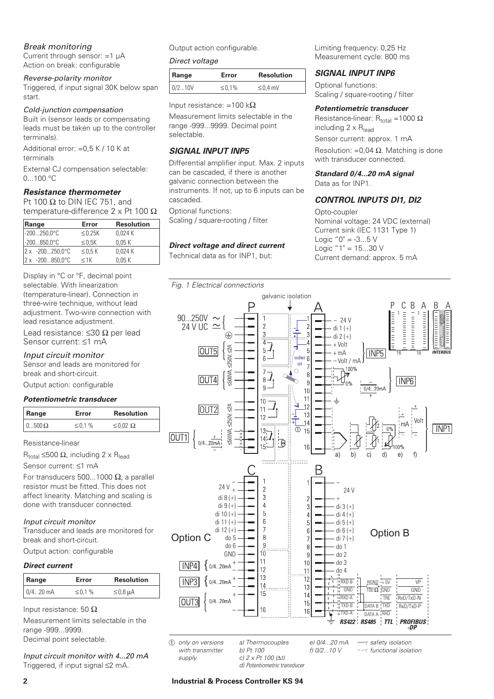### *Break monitoring*

Current through sensor: =1 µA Action on break: configurable

### *Reverse-polarity monitor*

Triggered, if input signal 30K below span start.

### *Cold-junction compensation*

Built in (sensor leads or compensating leads must be taken up to the controller terminals).

Additional error: =0,5 K / 10 K at terminals

External CJ compensation selectable: 0...100 °C

# *Resistance thermometer*

Pt 100  $\Omega$  to DIN IEC 751, and temperature-difference 2 x Pt 100 Ω

| Range                         | Error        | <b>Resolution</b> |
|-------------------------------|--------------|-------------------|
| $-200250.0^{\circ}C$          | $\leq$ 0,25K | 0.024K            |
| $-200850,0^{\circ}$ C         | $\leq$ 0.5K  | 0.05K             |
| $2 \times 200250,0^{\circ}$ C | $\leq$ 0.5 K | 0.024K            |
| $2x - 200850.0^{\circ}C$      | $<$ 1 $<$    | 0.05K             |

Display in °C or °F, decimal point selectable. With linearization (temperature-linear). Connection in three-wire technique, without lead adjustment. Two-wire connection with lead resistance adjustment.

Lead resistance: ≤30 Ω per lead Sensor current: ≤1 mA

# *Input circuit monitor*

Sensor and leads are monitored for break and short-circuit.

Output action: configurable

### *Potentiometric transducer*

| Range        | Error | <b>Resolution</b>  |
|--------------|-------|--------------------|
| $0500\Omega$ | ≤0.1% | $\leq 0.02 \Omega$ |

Resistance-linear

 $R_{total}$  ≤500 Ω, including 2 x R<sub>lead</sub>

Sensor current: ≤1 mA

For transducers 500...1000  $\Omega$ , a parallel resistor must be fitted. This does not affect linearity. Matching and scaling is done with transducer connected.

### *Input circuit monitor*

Transducer and leads are monitored for break and short-circuit.

Output action: configurable

### *Direct current*

| Range      | Error   | <b>Resolution</b>  |
|------------|---------|--------------------|
| $0/420$ mA | ≤ 0.1 % | $\leq$ 0,8 $\mu$ A |

Input resistance: 50 Ω

Measurement limits selectable in the range -999...9999. Decimal point selectable.

*Input circuit monitor with 4...20 mA* Triggered, if input signal ≤2 mA.

Output action configurable.

### *Direct voltage*

| Range  | Error  | <b>Resolution</b> |
|--------|--------|-------------------|
| 0/210V | ≤ 0.1% | $\leq$ 0,4 mV     |

Input resistance: =100 k $\Omega$ 

Measurement limits selectable in the range -999...9999. Decimal point selectable.

# *SIGNAL INPUT INP5*

Differential amplifier input. Max. 2 inputs can be cascaded, if there is another galvanic connection between the instruments. If not, up to 6 inputs can be cascaded.

Optional functions: Scaling / square-rooting / filter

# *Direct voltage and direct current*

Technical data as for INP1, but:

Limiting frequency: 0,25 Hz Measurement cycle: 800 ms

# *SIGNAL INPUT INP6*

Optional functions: Scaling / square-rooting / filter

### *Potentiometric transducer*

Resistance-linear:  $R_{total} = 1000 \Omega$ including  $2 \times R_{\text{lead}}$ 

Sensor current: approx. 1 mA Resolution: =0,04  $\Omega$ . Matching is done with transducer connected.

*Standard 0/4...20 mA signal* Data as for INP1.

### *CONTROL INPUTS DI1, DI2*

Opto-coupler

Nominal voltage: 24 VDC (external) Current sink (IEC 1131 Type 1) Logic  $"0" = -3...5 V$ Logic  $"1" = 15...30 V$ Current demand: approx. 5 mA

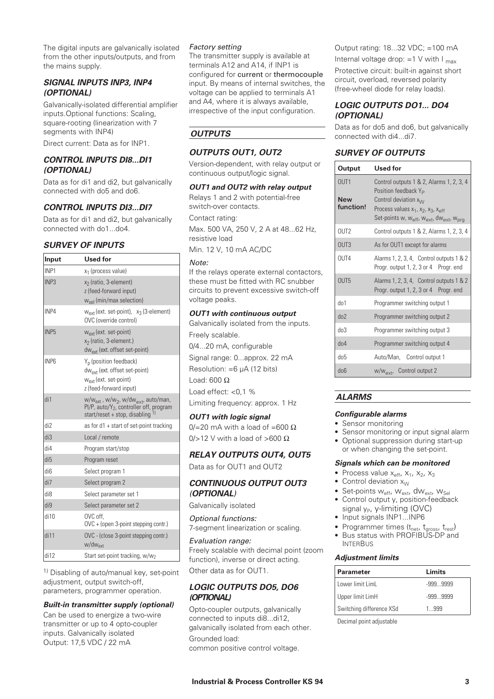The digital inputs are galvanically isolated from the other inputs/outputs, and from the mains supply.

## *SIGNAL INPUTS INP3, INP4 (OPTIONAL)*

Galvanically-isolated differential amplifier inputs.Optional functions: Scaling, square-rooting (linearization with 7 segments with INP4)

Direct current: Data as for INP1.

### *CONTROL INPUTS DI8...DI1 (OPTIONAL)*

Data as for di1 and di2, but galvanically connected with do5 and do6.

### *CONTROL INPUTS DI3...DI7*

Data as for di1 and di2, but galvanically connected with do1...do4.

### *SURVEY OF INPUTS*

| Input            | <b>Used for</b>                                                                                                                                                 |
|------------------|-----------------------------------------------------------------------------------------------------------------------------------------------------------------|
| INP <sub>1</sub> | x <sub>1</sub> (process value)                                                                                                                                  |
| INP <sub>3</sub> | x <sub>2</sub> (ratio, 3-element)<br>z (feed-forward input)<br>w <sub>sel</sub> (min/max selection)                                                             |
| INP4             | w <sub>ext</sub> (ext. set-point), x <sub>3</sub> (3-element)<br>OVC (override control)                                                                         |
| INP <sub>5</sub> | w <sub>ext</sub> (ext. set-point)<br>x <sub>2</sub> (ratio, 3-element.)<br>dw <sub>ext</sub> (ext. offset set-point)                                            |
| INP <sub>6</sub> | Y <sub>n</sub> (position feedback)<br>dw <sub>ext</sub> (ext. offset set-point)<br>$W_{\text{ext}}$ (ext. set-point)<br>z (feed-forward input)                  |
| di1              | w/w <sub>ext</sub> , w/w <sub>2</sub> , w/dw <sub>ext</sub> , auto/man,<br>Pl/P, auto/Y <sub>2</sub> , controller off, program<br>start/reset + stop, disabling |
| di <sub>2</sub>  | as for d1 + start of set-point tracking                                                                                                                         |
| di3              | Local / remote                                                                                                                                                  |
| di4              | Program start/stop                                                                                                                                              |
| di <sub>5</sub>  | Program reset                                                                                                                                                   |
| di <sub>6</sub>  | Select program 1                                                                                                                                                |
| di7              | Select program 2                                                                                                                                                |
| di <sub>8</sub>  | Select parameter set 1                                                                                                                                          |
| di9              | Select parameter set 2                                                                                                                                          |
| di10             | OVC off.<br>OVC + (open 3-point stepping contr.)                                                                                                                |
| di11             | OVC - (close 3-point stepping contr.)<br>w/dw <sub>ext</sub>                                                                                                    |
| di12             | Start set-point tracking, w/w2                                                                                                                                  |

1) Disabling of auto/manual key, set-point adjustment, output switch-off, parameters, programmer operation.

#### *Built-in transmitter supply (optional)*

Can be used to energize a two-wire transmitter or up to 4 opto-coupler inputs. Galvanically isolated Output: 17,5 VDC / 22 mA

### *Factory setting*

The transmitter supply is available at terminals A12 and A14, if INP1 is configured for current **or** thermocouple input. By means of internal switches, the voltage can be applied to terminals A1 and A4, where it is always available, irrespective of the input configuration.

# *OUTPUTS*

### *OUTPUTS OUT1, OUT2*

Version-dependent, with relay output or continuous output/logic signal.

### *OUT1 and OUT2 with relay output*

Relays 1 and 2 with potential-free switch-over contacts.

Contact rating:

Max. 500 VA, 250 V, 2 A at 48...62 Hz, resistive load

Min. 12 V, 10 mA AC/DC

#### *Note:*

If the relays operate external contactors, these must be fitted with RC snubber circuits to prevent excessive switch-off voltage peaks.

### *OUT1 with continuous output*

Galvanically isolated from the inputs. Freely scalable. 0/4...20 mA, configurable Signal range: 0...approx. 22 mA Resolution: =6 µA (12 bits) Load: 600 Ω Load effect: <0,1 % Limiting frequency: approx. 1 Hz

#### *OUT1 with logic signal*

0/=20 mA with a load of =600  $\Omega$ 0/>12 V with a load of >600  $\Omega$ 

# *RELAY OUTPUTS OUT4, OUT5*

Data as for OUT1 and OUT2

### *CONTINUOUS OUTPUT OUT3 (OPTIONAL)*

Galvanically isolated

*Optional functions:* 7-segment linearization or scaling.

*Evaluation range:* Freely scalable with decimal point (zoom function), inverse or direct acting. Other data as for OUT1.

### *LOGIC OUTPUTS DO5, DO6 (OPTIONAL)*

Opto-coupler outputs, galvanically connected to inputs di8...di12, galvanically isolated from each other.

Grounded load: common positive control voltage. Output rating: 18...32 VDC; =100 mA Internal voltage drop:  $=1$  V with I <sub>max</sub>

Protective circuit: built-in against short circuit, overload, reversed polarity (free-wheel diode for relay loads).

### *LOGIC OUTPUTS DO1... DO4 (OPTIONAL)*

Data as for do5 and do6, but galvanically connected with di4...di7.

# *SURVEY OF OUTPUTS*

| Output                                      | Used for                                                                                                                                                                                                                                                                  |
|---------------------------------------------|---------------------------------------------------------------------------------------------------------------------------------------------------------------------------------------------------------------------------------------------------------------------------|
| OUT <sub>1</sub><br><b>New</b><br>function! | Control outputs 1 & 2, Alarms 1, 2, 3, 4<br>Position feedback Y <sub>P</sub><br>Control deviation x <sub>1/1</sub><br>Process values $x_1$ , $x_2$ , $x_3$ , $x_{\text{eff}}$<br>Set-points w, w <sub>eff</sub> , w <sub>ext</sub> , dw <sub>ext</sub> , w <sub>prg</sub> |
| 0 <sub>U</sub>                              | Control outputs 1 & 2, Alarms 1, 2, 3, 4                                                                                                                                                                                                                                  |
| 0 <sub>U</sub>                              | As for OUT1 except for alarms                                                                                                                                                                                                                                             |
| OUT4                                        | Alarms 1, 2, 3, 4, Control outputs 1 & 2<br>Progr. output 1, 2, 3 or 4 Progr. end                                                                                                                                                                                         |
| OUT <sub>5</sub>                            | Alarms 1, 2, 3, 4, Control outputs 1 & 2<br>Progr. output 1, 2, 3 or 4 Progr. end                                                                                                                                                                                         |
| d <sub>0</sub> 1                            | Programmer switching output 1                                                                                                                                                                                                                                             |
| do2                                         | Programmer switching output 2                                                                                                                                                                                                                                             |
| dn3                                         | Programmer switching output 3                                                                                                                                                                                                                                             |
| d <sub>04</sub>                             | Programmer switching output 4                                                                                                                                                                                                                                             |
| $d$ o5                                      | Auto/Man, Control output 1                                                                                                                                                                                                                                                |
| $d$ o $6$                                   | w/w <sub>ext</sub> , Control output 2                                                                                                                                                                                                                                     |

# *ALARMS*

### *Configurable alarms*

- Sensor monitoring
- Sensor monitoring or input signal alarm
- Optional suppression during start-up or when changing the set-point.

### *Signals which can be monitored*

- Process value  $x_{\text{eff}}$ ,  $x_1$ ,  $x_2$ ,  $x_3$
- Control deviation  $x_W$
- Set-points  $W_{\text{eff}}$ ,  $W_{\text{ext}}$ ,  $dW_{\text{ext}}$ ,  $W_{\text{Sel}}$
- Control output y, position-feedback signal  $y_P$ , y-limiting (OVC)
- Input signals INP1...INP6
- Programmer times  $(t_{\text{net}}, t_{\text{gross}}, t_{\text{rest}})$
- Bus status with PROFIBUS-DP and **INTERBUS**

### *Adjustment limits*

| <b>Parameter</b>         | Limits     |  |
|--------------------------|------------|--|
| Lower limit LimL         | -999 9999  |  |
| Upper limit LimH         | $-9999999$ |  |
| Switching difference XSd | 1 999      |  |

Decimal point adjustable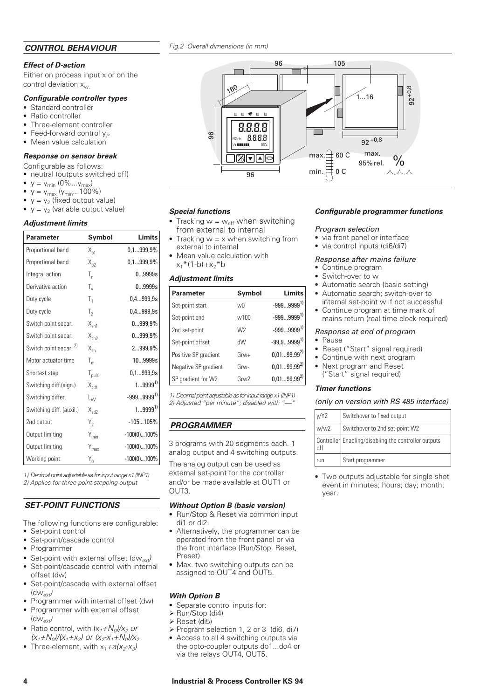### *Effect of D-action*

Either on process input x or on the control deviation  $x_{w}$ .

#### *Configurable controller types*

- Standard controller
- Ratio controller
- Three-element controller
- Feed-forward control  $v_P$
- Mean value calculation

#### *Response on sensor break*

- neutral (outputs switched off)
- $y = y_{min} (0\%...y_{max})$ <br>•  $y = y_{max} (y_{min}...100)$
- $y = y_{max} (y_{min}...100\%)$
- $y = y_2$  (fixed output value)<br>•  $y = y_2$  (variable output value)
- $y = y_2$  (variable output value)

#### *Adjustment limits*

| • Feed-forward control $y_P$<br>• Mean value calculation                                                                                                                                                                                                                         |                           |                | 96                                                                                                                                                                                                                                                                    | 8.8.8.8        |                 |
|----------------------------------------------------------------------------------------------------------------------------------------------------------------------------------------------------------------------------------------------------------------------------------|---------------------------|----------------|-----------------------------------------------------------------------------------------------------------------------------------------------------------------------------------------------------------------------------------------------------------------------|----------------|-----------------|
| Response on sensor break                                                                                                                                                                                                                                                         |                           |                |                                                                                                                                                                                                                                                                       | ▲∣             |                 |
| Configurable as follows:<br>• neutral (outputs switched off)<br>• $y = y_{min} (0\%y_{max})$<br>• $y = y_{max} (y_{min}100\%)$                                                                                                                                                   |                           |                |                                                                                                                                                                                                                                                                       | 96             |                 |
| • $y = y_2$ (fixed output value)<br>• $y = y_2$ (variable output value)                                                                                                                                                                                                          |                           |                |                                                                                                                                                                                                                                                                       |                |                 |
|                                                                                                                                                                                                                                                                                  |                           |                | <b>Special functions</b><br>• Tracking $w = w_{eff}$ when switching                                                                                                                                                                                                   |                |                 |
| <b>Adjustment limits</b>                                                                                                                                                                                                                                                         |                           |                | from external to internal                                                                                                                                                                                                                                             |                |                 |
| Parameter                                                                                                                                                                                                                                                                        | Symbol                    | Limits         | • Tracking $w = x$ when switching from<br>external to internal                                                                                                                                                                                                        |                |                 |
| Proportional band                                                                                                                                                                                                                                                                | $X_{p1}$                  | 0,1999,9%      | $\bullet\,$ Mean value calculation with                                                                                                                                                                                                                               |                |                 |
| Proportional band                                                                                                                                                                                                                                                                | $X_{p2}$                  | $0, 1999, 9\%$ | $x_1 * (1-b) + x_2 * b$                                                                                                                                                                                                                                               |                |                 |
| Integral action                                                                                                                                                                                                                                                                  | $T_{n}$                   | 09999s         | <b>Adjustment limits</b>                                                                                                                                                                                                                                              |                |                 |
| Derivative action                                                                                                                                                                                                                                                                | $T_{\rm v}$               | 09999s         | <b>Parameter</b>                                                                                                                                                                                                                                                      | Symbol         | Limits          |
| Duty cycle                                                                                                                                                                                                                                                                       | $T_1$                     | 0,4999,9s      | Set-point start                                                                                                                                                                                                                                                       | wO             | $-9999999^{1}$  |
| Duty cycle                                                                                                                                                                                                                                                                       | T <sub>2</sub>            | 0,4999,9s      | Set-point end                                                                                                                                                                                                                                                         | w100           | $-9999999^{11}$ |
| Switch point separ.                                                                                                                                                                                                                                                              | $X_{\rm sh1}$             | $0999,9\%$     | 2nd set-point                                                                                                                                                                                                                                                         | W <sub>2</sub> | $-9999999^{1}$  |
| Switch point separ.                                                                                                                                                                                                                                                              | $X_{sh2}$                 | 0999,9%        | Set-point offset                                                                                                                                                                                                                                                      | dW             | $-99,99999^{1}$ |
| Switch point separ. <sup>2)</sup>                                                                                                                                                                                                                                                | $X_{\text{sh}}$           | 2999,9%        | Positive SP gradient                                                                                                                                                                                                                                                  | $Grw+$         | $0,0199,99^{2}$ |
| Motor actuator time                                                                                                                                                                                                                                                              | $T_m$                     | 109999s        |                                                                                                                                                                                                                                                                       | Grw-           | $0,0199,99^{2}$ |
| Shortest step                                                                                                                                                                                                                                                                    | $T_{\text{puls}}$         | 0,1999,9s      | Negative SP gradient                                                                                                                                                                                                                                                  |                | $0,0199,99^{2}$ |
| Switching diff.(sign.)                                                                                                                                                                                                                                                           | $X_{sd1}$                 | $19999^{1}$    | SP gradient for W2                                                                                                                                                                                                                                                    | Grw2           |                 |
| Switching differ.                                                                                                                                                                                                                                                                | $L_{\text{VV}}$           | $-9999999^{1}$ | 1) Decimal point adjustable as for input range x1 (INP1)                                                                                                                                                                                                              |                |                 |
| Switching diff. (auxil.)                                                                                                                                                                                                                                                         | $X_{sd2}$                 | $19999^{1}$    | 2) Adjusted "per minute"; disabled with "---"                                                                                                                                                                                                                         |                |                 |
| 2nd output                                                                                                                                                                                                                                                                       | $Y_2$                     | $-105105\%$    | <b>PROGRAMMER</b>                                                                                                                                                                                                                                                     |                |                 |
| Output limiting                                                                                                                                                                                                                                                                  | $Y_{min}$                 | $-100(0)100\%$ |                                                                                                                                                                                                                                                                       |                |                 |
| Output limiting                                                                                                                                                                                                                                                                  | $Y_{\text{max}}$          | $-100(0)100\%$ | 3 programs with 20 segments each. 1                                                                                                                                                                                                                                   |                |                 |
| Working point                                                                                                                                                                                                                                                                    | $\mathsf{Y}_{\mathsf{0}}$ | $-100(0)100\%$ | analog output and 4 switching outputs.                                                                                                                                                                                                                                |                |                 |
| 1) Decimal point adjustable as for input range x1 (INP1)<br>2) Applies for three-point stepping output                                                                                                                                                                           |                           |                | The analog output can be used as<br>external set-point for the controller<br>and/or be made available at OUT1 or<br>OUT3.                                                                                                                                             |                |                 |
| <b>SET-POINT FUNCTIONS</b>                                                                                                                                                                                                                                                       |                           |                | <b>Without Option B (basic version)</b>                                                                                                                                                                                                                               |                |                 |
| The following functions are configurable:<br>• Set-point control<br>• Set-point/cascade control<br>• Programmer<br>• Set-point with external offset (dw <sub>ext</sub> )<br>• Set-point/cascade control with internal<br>offset (dw)<br>• Set-point/cascade with external offset |                           |                | • Run/Stop & Reset via common input<br>di1 or di2.<br>• Alternatively, the programmer can be<br>operated from the front panel or via<br>the front interface (Run/Stop, Reset,<br>Preset).<br>• Max. two switching outputs can be<br>assigned to OUT4 and OUT5.        |                |                 |
| $(dw_{ext})$<br>• Programmer with internal offset (dw)<br>• Programmer with external offset<br>$(dw_{ext})$<br>• Ratio control, with $(x_1+N_0)/x_2$ or<br>$(x_1+N_0)/(x_1+x_2)$ or $(x_2-x_1+N_0)/x_2$<br>• Three-element, with $x_1 + a(x_2 - x_3)$                            |                           |                | <b>With Option B</b><br>• Separate control inputs for:<br>$\triangleright$ Run/Stop (di4)<br>> Reset (di5)<br>> Program selection 1, 2 or 3 (di6, di7)<br>• Access to all 4 switching outputs via<br>the opto-coupler outputs do1do4 or<br>via the relays OUT4, OUT5. |                |                 |
| 4                                                                                                                                                                                                                                                                                |                           |                | <b>Industrial &amp; Process Controller KS 94</b>                                                                                                                                                                                                                      |                |                 |

### *SET-POINT FUNCTIONS*

- Set-point control
- Set-point/cascade control
- Programmer
- Set-point with external offset (dw*ext)* Set-point/cascade control with internal
- offset (dw)
- Set-point/cascade with external offset (dw*ext)*
- Programmer with internal offset (dw)
- Programmer with external offset (dw*ext)*
- Ratio control, with  $(x_1+N_0)/x_2$  or  $(x_1+N_0)/(x_1+x_2)$  or  $(x_2-x_1+N_0)/x_2$
- Three-element, with  $x_1 + a(x_2 x_3)$



#### *Special functions*

- Tracking  $w = w_{\text{eff}}$  when switching from external to internal
- Tracking  $w = x$  when switching from external to internal
- Mean value calculation with  $x_1 * (1-b) + x_2 * b$

### *Adjustment limits*

| <b>Parameter</b>     | Symbol         | Limits          |
|----------------------|----------------|-----------------|
| Set-point start      | wΩ             | $-9999999^{1}$  |
| Set-point end        | w100           | $-9999999^{1}$  |
| 2nd set-point        | W <sub>2</sub> | $-9999999^{1}$  |
| Set-point offset     | dWh            | $-99.99999^{1}$ |
| Positive SP gradient | $Grw+$         | $0,0199,99^{2}$ |
| Negative SP gradient | Grw-           | $0,0199,99^{2}$ |
| SP gradient for W2   | Grw2           | $0,0199,99^{2}$ |

# *PROGRAMMER*

#### *Without Option B (basic version)*

- Run/Stop & Reset via common input di1 or di2.
- Alternatively, the programmer can be operated from the front panel or via the front interface (Run/Stop, Reset, Preset).
- Max. two switching outputs can be assigned to OUT4 and OUT5.

### *With Option B*

- Separate control inputs for:
- $\triangleright$  Run/Stop (di4)
- $\triangleright$  Reset (di5)
- Program selection 1, 2 or 3 (di6, di7)
- Access to all 4 switching outputs via the opto-coupler outputs do1...do4 or via the relays OUT4, OUT5.

#### *Configurable programmer functions*

#### *Program selection*

- via front panel or interface
- via control inputs (di6/di7)

### *Response after mains failure*

- Continue program
- Switch-over to w
- Automatic search (basic setting)
- Automatic search; switch-over to internal set-point w if not successful
- Continue program at time mark of mains return (real time clock required)

#### *Response at end of program*

- Pause
- Reset ("Start" signal required)
- Continue with next program
- Next program and Reset ("Start" signal required)

#### *Timer functions*

#### *(only on version with RS 485 interface)*

| v/Y2 | Switchover to fixed output                           |
|------|------------------------------------------------------|
| w/w2 | Switchover to 2nd set-point W2                       |
| nff  | Controller Enabling/disabling the controller outputs |
| run  | Start programmer                                     |

• Two outputs adjustable for single-shot event in minutes; hours; day; month; year.

# *Fig.2 Overall dimensions (in mm)*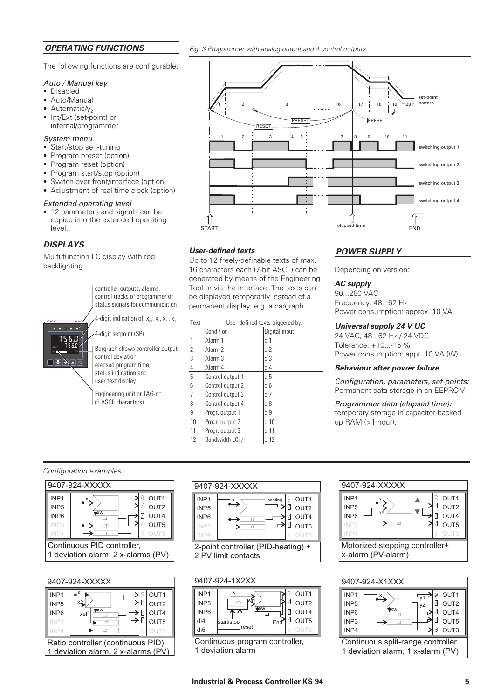### *OPERATING FUNCTIONS*

The following functions are configurable:

#### *Auto / Manual key*

- Disabled
- Auto/Manual
- Automatic/ $y_2$
- Int/Ext (set-point) or internal/programmer

#### *System menu*

- Start/stop self-tuning
- Program preset (option)
- Program reset (option)
- Program start/stop (option)
- Switch-over front/interface (option)
- Adjustment of real time clock (option)

#### *Extended operating level*

• 12 parameters and signals can be copied into the extended operating level.

### *DISPLAYS*

756.0 756.0  $y:$  55

erane

Multi-function LC display with red backlighting

> controller outputs, alarms, control tracks of programmer or status signals for communication

4-digit indication of  $x_{eff}$ ,  $x_1$ ,  $x_2$ ,  $x_3$ 

4-digit setpoint (SP)

Bargraph shows controller output, control deviation, elapsed program time, status indication and user text display

Engineering unit or TAG-no (5 ASCII characters)

| $\sqrt{2}$                 | 3<br>PRESET<br><b>RESET</b> | 16<br>18<br>19<br>17<br>PRESET                      | set-point<br>pattern<br>$\div$ 20 $\pm$ |
|----------------------------|-----------------------------|-----------------------------------------------------|-----------------------------------------|
| $\sqrt{2}$<br>$\mathbf{1}$ | $4 \div 5$<br>$\mathsf 3$   | 8 ∶<br>$\boldsymbol{9}$<br>$\overline{7}$<br>$10\,$ | 11                                      |
|                            |                             |                                                     | switching output 1                      |
|                            |                             |                                                     | switching output 2                      |
|                            |                             |                                                     | switching output 3                      |
|                            |                             |                                                     | switching output 4                      |
|                            |                             |                                                     |                                         |
| <b>START</b>               |                             | elapsed time                                        | <b>END</b>                              |
|                            |                             |                                                     |                                         |

### *User-defined texts*

Up to 12 freely-definable texts of max. 16 characters each (7-bit ASCII) can be generated by means of the Engineering Tool or via the interface. The texts can be displayed temporarily instead of a permanent display, e.g. a bargraph.

*Fig. 3 Programmer with analog output and 4 control outputs*

| Text | User-defined texts triggered by: |                 |  |
|------|----------------------------------|-----------------|--|
|      | Condition                        | Digital input   |  |
| 1    | Alarm 1                          | di1             |  |
| 2    | Alarm <sub>2</sub>               | di2             |  |
| 3    | Alarm 3                          | di3             |  |
| 4    | Alarm 4                          | di4             |  |
| 5    | Control output 1                 | di <sub>5</sub> |  |
| 6    | Control output 2                 | di <sub>6</sub> |  |
| 7    | Control output 3                 | di7             |  |
| 8    | Control output 4                 | di8             |  |
| 9    | Progr. output 1                  | di9             |  |
| 10   | Progr. output 2                  | di10            |  |
| 11   | Progr. output 3                  | di11            |  |
| 12   | Bandwidth LC+/-                  | di12            |  |

### *POWER SUPPLY*

Depending on version:

### *AC supply*

90...260 VAC Frequency: 48...62 Hz Power consumption: approx. 10 VA

### *Universal supply 24 V UC*

24 VAC, 48...62 Hz / 24 VDC Tolerance: +10...-15 % Power consumption: appr. 10 VA (W)

#### *Behaviour after power failure*

*Configuration, parameters, set-points:* Permanent data storage in an EEPROM.

*Programmer data (elapsed time):* temporary storage in capacitor-backed up RAM (>1 hour).

### *Configuration examples::*

| 9407-924-XXXXX                     |                            |  |  |  |
|------------------------------------|----------------------------|--|--|--|
| INP <sub>1</sub>                   | OUT <sub>1</sub>           |  |  |  |
| INP <sub>5</sub>                   | OUT <sub>2</sub>           |  |  |  |
| INP <sub>6</sub>                   | XW<br>OUT4<br>$\mathbf{u}$ |  |  |  |
| INP3                               | OUT5                       |  |  |  |
| NP4                                |                            |  |  |  |
| Continuous PID controller,         |                            |  |  |  |
| 1 deviation alarm, 2 x-alarms (PV) |                            |  |  |  |
|                                    |                            |  |  |  |









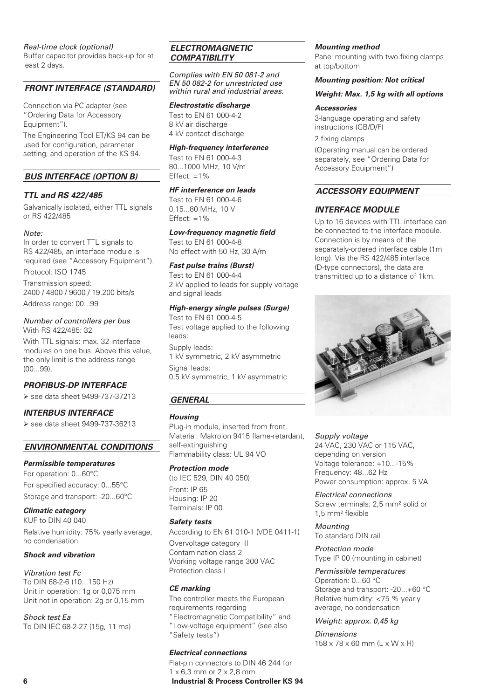### *Real-time clock (optional)*

Buffer capacitor provides back-up for at least 2 days.

### *FRONT INTERFACE (STANDARD)*

Connection via PC adapter (see "Ordering Data for Accessory Equipment").

The Engineering Tool ET/KS 94 can be used for configuration, parameter setting, and operation of the KS 94.

### *BUS INTERFACE (OPTION B)*

### *TTL and RS 422/485*

Galvanically isolated, either TTL signals or RS 422/485

#### *Note:*

In order to convert TTL signals to RS 422/485, an interface module is required (see "Accessory Equipment"). Protocol: ISO 1745

Transmission speed: 2400 / 4800 / 9600 / 19.200 bits/s

Address range: 00...99

### *Number of controllers per bus* With RS 422/485: 32

With TTL signals: max. 32 interface modules on one bus. Above this value, the only limit is the address range (00...99).

# *PROFIBUS-DP INTERFACE*

see data sheet 9499-737-37213

# *INTERBUS INTERFACE*

see data sheet 9499-737-36213

### *ENVIRONMENTAL CONDITIONS*

### *Permissible temperatures*

For operation: 0...60°C For specified accuracy: 0...55°C Storage and transport: -20...60°C

*Climatic category* KUF to DIN 40 040 Relative humidity: 75% yearly average, no condensation

### *Shock and vibration*

*Vibration test Fc* To DIN 68-2-6 (10...150 Hz) Unit in operation: 1g or 0,075 mm Unit not in operation: 2g or 0,15 mm

*Shock test Ea* To DIN IEC 68-2-27 (15g, 11 ms)

### *ELECTROMAGNETIC COMPATIBILITY*

*Complies with EN 50 081-2 and EN 50 082-2 for unrestricted use within rural and industrial areas.*

### *Electrostatic discharge*

Test to EN 61 000-4-2 8 kV air discharge 4 kV contact discharge

### *High-frequency interference*

Test to EN 61 000-4-3 80...1000 MHz, 10 V/m

Effect:  $=1%$ *HF interference on leads*

## Test to EN 61 000-4-6 0,15...80 MHz, 10 V

Effect:  $=1%$ 

# *Low-frequency magnetic field*

Test to EN 61 000-4-8 No effect with 50 Hz, 30 A/m

#### *Fast pulse trains (Burst)*

Test to EN 61 000-4-4 2 kV applied to leads for supply voltage and signal leads

### *High-energy single pulses (Surge)*

Test to EN 61 000-4-5 Test voltage applied to the following leads:

Supply leads: 1 kV symmetric, 2 kV asymmetric Signal leads: 0,5 kV symmetric, 1 kV asymmetric

# *GENERAL*

### *Housing*

Plug-in module, inserted from front. Material: Makrolon 9415 flame-retardant, self-extinguishing Flammability class: UL 94 VO

### *Protection mode*

(to IEC 529, DIN 40 050) Front: IP 65 Housing: IP 20 Terminals: IP 00

### *Safety tests*

According to EN 61 010-1 (VDE 0411-1)

Overvoltage category III Contamination class 2 Working voltage range 300 VAC Protection class I

### *CE marking*

The controller meets the European requirements regarding "Electromagnetic Compatibility" and "Low-voltage equipment" (see also "Safety tests")

### *Electrical connections*

Flat-pin connectors to DIN 46 244 for 1 x 6,3 mm or 2 x 2,8 mm **6 Industrial & Process Controller KS 94**

#### *Mounting method*

Panel mounting with two fixing clamps at top/bottom

### *Mounting position: Not critical*

#### *Weight: Max. 1,5 kg with all options*

#### *Accessories*

3-language operating and safety instructions (GB/D/F) 2 fixing clamps

(Operating manual can be ordered separately, see "Ordering Data for Accessory Equipment")

### *ACCESSORY EQUIPMENT*

### *INTERFACE MODULE*

Up to 16 devices with TTL interface can be connected to the interface module. Connection is by means of the separately-ordered interface cable (1m long). Via the RS 422/485 interface (D-type connectors), the data are transmitted up to a distance of 1km.



*Supply voltage* 24 VAC, 230 VAC or 115 VAC, depending on version Voltage tolerance: +10...-15% Frequency: 48...62 Hz Power consumption: approx. 5 VA

*Electrical connections* Screw terminals: 2,5 mm² solid or 1,5 mm² flexible

*Mounting* To standard DIN rail

*Protection mode* Type IP 00 (mounting in cabinet)

*Permissible temperatures* Operation: 0...60 °C Storage and transport: -20...+60 °C Relative humidity: <75 % yearly average, no condensation

### *Weight: approx. 0,45 kg*

*Dimensions* 158 x 78 x 60 mm (L x W x H)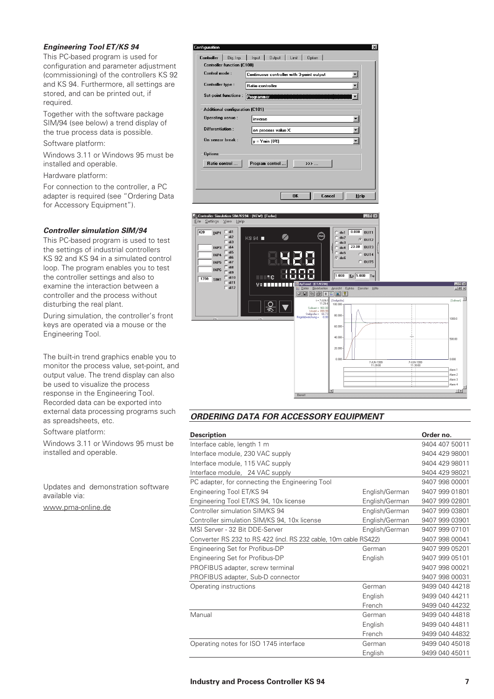### *Engineering Tool ET/KS 94*

This PC-based program is used for configuration and parameter adjustment (commissioning) of the controllers KS 92 and KS 94. Furthermore, all settings are stored, and can be printed out, if required.

Together with the software package SIM/94 (see below) a trend display of the true process data is possible.

Software platform:

Windows 3.11 or Windows 95 must be installed and operable.

Hardware platform:

For connection to the controller, a PC adapter is required (see "Ordering Data for Accessory Equipment").

### *Controller simulation SIM/94*

This PC-based program is used to test the settings of industrial controllers KS 92 and KS 94 in a simulated control loop. The program enables you to test the controller settings and also to examine the interaction between a controller and the process without disturbing the real plant.

During simulation, the controller's front keys are operated via a mouse or the Engineering Tool.

The built-in trend graphics enable you to monitor the process value, set-point, and output value. The trend display can also be used to visualize the process response in the Engineering Tool. Recorded data can be exported into external data processing programs such as spreadsheets, etc.

Software platform:

Windows 3.11 or Windows 95 must be installed and operable.

Updates and demonstration software available via:

www.pma-online.de

| onfiguration                |                                        |                                                    | $\vert x \vert$ |
|-----------------------------|----------------------------------------|----------------------------------------------------|-----------------|
| <b>Controller</b>           | Dig. Inp.                              | <b>Output</b><br>Limit  <br>Input<br><b>Option</b> |                 |
|                             | <b>Controller function (C100)</b>      |                                                    |                 |
| Control mode:               |                                        | Continuous controller with 3-point output          |                 |
| <b>Controller type:</b>     |                                        | <b>Ratio controller</b>                            |                 |
| <b>Set-point functions:</b> |                                        | Programmer                                         |                 |
|                             | <b>Additional configuration (C101)</b> |                                                    |                 |
| <b>Operating sense:</b>     |                                        | inverse                                            |                 |
| <b>Differentiation:</b>     |                                        | on process value X                                 |                 |
| On sensor break:            |                                        | $y = Ymin(0\%)$                                    |                 |
| <b>Options</b>              |                                        |                                                    |                 |
|                             | Ratio control                          | Program control<br>$\rightarrow$                   |                 |
|                             |                                        |                                                    |                 |
|                             |                                        |                                                    |                 |
|                             |                                        | <b>OK</b><br>Cancel<br>Help                        |                 |



### *ORDERING DATA FOR ACCESSORY EQUIPMENT*

| <b>Description</b>                                               |                | Order no.      |
|------------------------------------------------------------------|----------------|----------------|
| Interface cable, length 1 m                                      | 9404 407 50011 |                |
| Interface module, 230 VAC supply                                 |                | 9404 429 98001 |
| Interface module, 115 VAC supply                                 |                | 9404 429 98011 |
| Interface module, 24 VAC supply                                  |                | 9404 429 98021 |
| PC adapter, for connecting the Engineering Tool                  |                | 9407 998 00001 |
| Engineering Tool ET/KS 94                                        | English/German | 9407 999 01801 |
| Engineering Tool ET/KS 94, 10x license                           | English/German | 9407 999 02801 |
| Controller simulation SIM/KS 94                                  | English/German | 9407 999 03801 |
| Controller simulation SIM/KS 94, 10x license                     | English/German | 9407 999 03901 |
| MSI Server - 32 Bit DDE-Server                                   | English/German | 9407 999 07101 |
| Converter RS 232 to RS 422 (incl. RS 232 cable, 10m cable RS422) |                | 9407 998 00041 |
| Engineering Set for Profibus-DP                                  | German         | 9407 999 05201 |
| Engineering Set for Profibus-DP                                  | English        | 9407 999 05101 |
| PROFIBUS adapter, screw terminal                                 |                | 9407 998 00021 |
| PROFIBUS adapter, Sub-D connector                                |                | 9407 998 00031 |
| Operating instructions                                           | German         | 9499 040 44218 |
|                                                                  | English        | 9499 040 44211 |
|                                                                  | French         | 9499 040 44232 |
| Manual                                                           | German         | 9499 040 44818 |
|                                                                  | English        | 9499 040 44811 |
|                                                                  | French         | 9499 040 44832 |
| Operating notes for ISO 1745 interface                           | German         | 9499 040 45018 |
|                                                                  | English        | 9499 040 45011 |